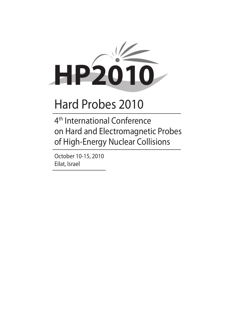

4th International Conference on Hard and Electromagnetic Probes of High-Energy Nuclear Collisions

October 10-15, 2010 Eilat, Israel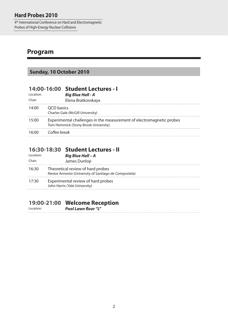4th International Conference on Hard and Electromagnetic Probes of High-Energy Nuclear Collisions

## **Program**

## **Sunday, 10 October 2010**

| Location:<br>Chair: |                    | 14:00-16:00 Student Lectures - I<br><b>Big Blue Hall - A</b><br>Elena Bratkovskaya                           |
|---------------------|--------------------|--------------------------------------------------------------------------------------------------------------|
| 14:00               | QCD basics         | Charles Gale (McGill University)                                                                             |
| 15:00               |                    | Experimental challenges in the measurement of electromagnetic probes<br>Tom Hemmick (Stony Brook University) |
|                     | 16:00 Coffee break |                                                                                                              |

#### **16:30-18:30 Student Lectures - II**

| l ocation: | <b>Big Blue Hall - A</b>                                                                   |
|------------|--------------------------------------------------------------------------------------------|
| Chair:     | James Dunlop                                                                               |
| 16:30      | Theoretical review of hard probes<br>Nestor Armesto (University of Santiago de Compostela) |
| 17:30      | Experimental review of hard probes<br>John Harris (Yale University)                        |

#### **19:00-21:00 Welcome Reception**

Location: *Pool Lawn floor "L"*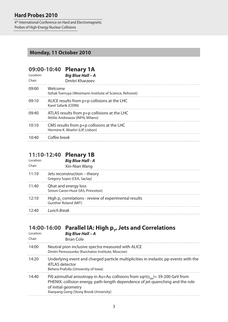4th International Conference on Hard and Electromagnetic Probes of High-Energy Nuclear Collisions

#### **Monday, 11 October 2010**

# **09:00-10:40 Plenary 1A**

| Location:<br>Chair: | <b>Big Blue Hall - A</b><br>Dmitri Kharzeev                                      |
|---------------------|----------------------------------------------------------------------------------|
| 09:00               | Welcome<br>Itzhak Tserruya (Weizmann Institute of Science, Rehovot)              |
| 09:10               | ALICE results from p+p collisions at the LHC<br>Karel Safarik (CERN)             |
| 09:40               | ATLAS results from p+p collisions at the LHC<br>Attilio Andreazza (INFN, Milano) |
| 10:10               | CMS results from $p+p$ collisions at the LHC<br>Hermine K. Woehri (LIP, Lisbon)  |
| $10-40$             | Coffee break                                                                     |

#### **11:10-12:40 Plenary 1B**

| l ocation:<br>Chair: | <b>Big Blue Hall - A</b><br>Xin-Nian Wang                                               |
|----------------------|-----------------------------------------------------------------------------------------|
| 11:10                | Jets reconstruction – theory<br>Gregory Soyez (CEA, Saclay)                             |
| 11:40                | Qhat and energy loss<br>Simon Caron-Huot (IAS, Princeton)                               |
| 12:10                | High $p_r$ correlations - review of experimental results<br><b>Gunther Roland (MIT)</b> |
| 12.40                | Lunch Break                                                                             |

## 14:00-16:00 Parallel IA: High p<sub>T</sub>, Jets and Correlations

| Location:<br>Chair: | <b>Big Blue Hall - A</b><br><b>Brian Cole</b>                                                                                                                                                                                           |
|---------------------|-----------------------------------------------------------------------------------------------------------------------------------------------------------------------------------------------------------------------------------------|
| 14:00               | Neutral pion inclusive spectra measured with ALICE<br>Dmitri Peressounko (Kurchatov Institute, Moscow)                                                                                                                                  |
| 14:20               | Underlying event and charged particle multiplicities in inelastic pp events with the<br>ATLAS detector<br>Behera Prafulla (University of Iowa)                                                                                          |
| 14:40               | Pi0 azimuthal anisotropy in Au+Au collisions from sqrt( $s_{NN}$ ) = 39-200 GeV from<br>PHENIX: collision energy, path-length dependence of jet-quenching and the role<br>of initial geometry<br>Xiaoyang Gong (Stony Brook University) |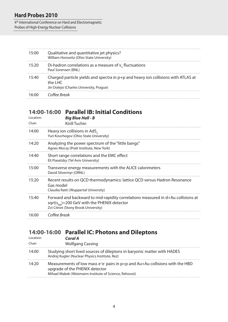#### 4th International Conference on Hard and Electromagnetic Probes of High-Energy Nuclear Collisions

| 15.00 | Qualitative and quantitative jet physics?<br>William Horowitz (Ohio State University)                                                       |
|-------|---------------------------------------------------------------------------------------------------------------------------------------------|
| 15:20 | Di-hadron correlations as a measure of $vn$ fluctuations<br>Paul Sorensen (BNL)                                                             |
| 15.40 | Charged particle yields and spectra in $p+p$ and heavy ion collisions with ATLAS at<br>the LHC<br>Jiri Dolejsi (Charles University, Prague) |
|       | Coffee Break                                                                                                                                |

### **14:00-16:00 Parallel IB: Initial Conditions**

| Location:<br>Chair: | <b>Big Blue Hall - B</b><br><b>Kirill Tuchin</b>                                                                                                                             |
|---------------------|------------------------------------------------------------------------------------------------------------------------------------------------------------------------------|
| 14:00               | Heavy ion collisions in $AdS_{\epsilon}$<br>Yuri Kovchegov (Ohio State University)                                                                                           |
| 14:20               | Analyzing the power spectrum of the "little bangs"<br>Agnes Mocsy (Pratt Institute, New York)                                                                                |
| 14:40               | Short range correlations and the EMC effect<br>Eli Piasetzky (Tel Aviv University)                                                                                           |
| 15:00               | Transverse energy measurements with the ALICE calorimeters<br>David Silvermyr (ORNL)                                                                                         |
| 15:20               | Recent results on QCD thermodynamics: lattice QCD versus Hadron Resonance<br>Gas model<br>Claudia Ratti (Wuppertal University)                                               |
| 15:40               | Forward and backward to mid-rapidity correlations measured in d+Au collisions at<br>sqrt( $s_{NN}$ )=200 GeV with the PHENIX detector<br>Zvi Citron (Stony Brook University) |
| 16:00               | Coffee Break                                                                                                                                                                 |
|                     |                                                                                                                                                                              |

## **14:00-16:00 Parallel IC: Photons and Dileptons**

| Location:<br>Chair: | Coral A<br><b>Wolfgang Cassing</b>                                                                                                                                              |
|---------------------|---------------------------------------------------------------------------------------------------------------------------------------------------------------------------------|
| 14:00               | Studying short lived sources of dileptons in baryonic matter with HADES<br>Andrej Kugler (Nuclear Physics Institute, Rez)                                                       |
| 14:20               | Measurements of low mass $e^+e^-$ pairs in $p+p$ and $Au+Au$ collisions with the HBD<br>upgrade of the PHENIX detector<br>Mihael Makek (Weizmann Institute of Science, Rehovot) |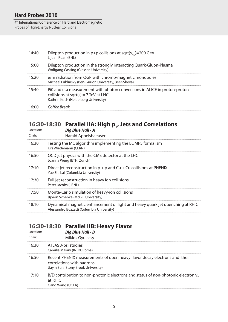#### 4th International Conference on Hard and Electromagnetic Probes of High-Energy Nuclear Collisions

| 14:40 | Dilepton production in p+p collisions at sqrt( $s_{NN}$ )=200 GeV<br>Lijuan Ruan (BNL)                                                                      |
|-------|-------------------------------------------------------------------------------------------------------------------------------------------------------------|
| 15:00 | Dilepton production in the strongly interacting Quark-Gluon-Plasma<br><b>Wolfgang Cassing (Giessen University)</b>                                          |
| 15:20 | e/m radiation from QGP with chromo-magnetic monopoles<br>Michael Lublinsky (Ben-Gurion University, Beer-Sheva)                                              |
| 15:40 | Pi0 and eta measurement with photon conversions in ALICE in proton-proton<br>collisions at sqrt(s) = $7$ TeV at LHC<br>Kathrin Koch (Heidelberg University) |
| 16:00 | Coffee Break                                                                                                                                                |

## **16:30-18:30 Parallel IIA: High p<sub>T</sub>, Jets and Correlations**

| Location:<br>Chair: | <b>Big Blue Hall - A</b><br>Harald Appelshaeuser                                                                           |
|---------------------|----------------------------------------------------------------------------------------------------------------------------|
| 16:30               | Testing the MC algorithm implementing the BDMPS formalism<br>Urs Wiedemann (CERN)                                          |
| 16:50               | QCD jet physics with the CMS detector at the LHC<br>Joanna Weng (ETH, Zurich)                                              |
| 17:10               | Direct jet reconstruction in $p + p$ and $Cu + Cu$ collisions at PHENIX<br>Yue Shi Lai (Columbia University)               |
| 17:30               | Full jet reconstruction in heavy ion collisions<br>Peter Jacobs (LBNL)                                                     |
| 17:50               | Monte-Carlo simulation of heavy-ion collisions<br>Bjoern Schenke (McGill University)                                       |
| 18:10               | Dynamical magnetic enhancement of light and heavy quark jet quenching at RHIC<br>Alessandro Buzzatti (Columbia University) |

## **16:30-18:30 Parallel IIB: Heavy Flavor**

| Location:<br>Chair: | <b>Big Blue Hall - B</b><br>Miklos Gyulassy                                                                                                   |
|---------------------|-----------------------------------------------------------------------------------------------------------------------------------------------|
| 16:30               | ATLAS J/psi studies<br>Camilia Maiani (INFN, Roma)                                                                                            |
| 16:50               | Recent PHENIX measurements of open heavy flavor decay electrons and their<br>correlations with hadrons<br>Jiayin Sun (Stony Brook University) |
| 17:10               | B/D contribution to non-photonic electrons and status of non-photonic electron $v2$<br>at RHIC<br>Gang Wang (UCLA)                            |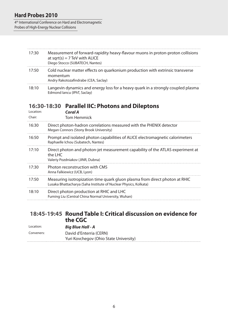4th International Conference on Hard and Electromagnetic Probes of High-Energy Nuclear Collisions

| 17:30 | Measurement of forward-rapidity heavy-flavour muons in proton-proton collisions<br>at sqrt(s) = $7 \text{ TeV}$ with ALICE<br>Diego Stocco (SUBATECH, Nantes) |
|-------|---------------------------------------------------------------------------------------------------------------------------------------------------------------|
| 17:50 | Cold nuclear matter effects on quarkonium production with extrinsic transverse<br>momentum<br>Andry Rakotozafindrabe (CEA, Saclay)                            |
| 18:10 | Langevin dynamics and energy loss for a heavy quark in a strongly coupled plasma<br>Edmond Iancu (IPhT, Saclay)                                               |

#### **16:30-18:30 Parallel IIC: Photons and Dileptons**

| Location:<br>Chair: | Coral A<br><b>Tom Hemmick</b>                                                                                                                   |
|---------------------|-------------------------------------------------------------------------------------------------------------------------------------------------|
| 16:30               | Direct photon-hadron correlations measured with the PHENIX detector<br>Megan Connors (Stony Brook University)                                   |
| 16:50               | Prompt and isolated photon capabilities of ALICE electromagnetic calorimeters<br>Raphaelle Ichou (Subatech, Nantes)                             |
| 17:10               | Direct photon and photon-jet measurement capability of the ATLAS experiment at<br>the LHC<br>Valeriy Pozdniakov (JINR, Dubna)                   |
| 17:30               | Photon reconstruction with CMS<br>Anna Falkiewicz (UCB, Lyon)                                                                                   |
| 17:50               | Measuring isotropization time quark gluon plasma from direct photon at RHIC<br>Lusaka Bhattacharya (Saha Institute of Nuclear Physics, Kolkata) |
| 18:10               | Direct photon production at RHIC and LHC<br>Fuming Liu (Central China Normal University, Wuhan)                                                 |

#### **18:45-19:45 Round Table I: Critical discussion on evidence for the CGC**

| Location:  | <b>Big Blue Hall - A</b>               |
|------------|----------------------------------------|
| Conveners: | David d'Enterria (CERN)                |
|            | Yuri Kovchegov (Ohio State University) |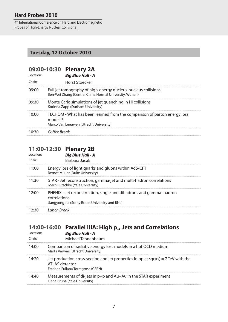4th International Conference on Hard and Electromagnetic Probes of High-Energy Nuclear Collisions

#### **Tuesday, 12 October 2010**

| Location: |              | 09:00-10:30 Plenary 2A<br><b>Big Blue Hall - A</b>                                                                      |
|-----------|--------------|-------------------------------------------------------------------------------------------------------------------------|
| Chair:    |              | <b>Horst Stoecker</b>                                                                                                   |
| 09:00     |              | Full jet tomography of high-energy nucleus-nucleus collisions<br>Ben-Wei Zhang (Central China Normal University, Wuhan) |
| 09:30     |              | Monte Carlo simulations of jet quenching in HI collisions<br>Korinna Zapp (Durham University)                           |
| 10:00     | models?      | TECHQM - What has been learned from the comparison of parton energy loss<br>Marco Van Leeuwen (Utrecht University)      |
| 10.30     | Coffee Break |                                                                                                                         |

#### **11:00-12:30 Plenary 2B**

| Energy loss of light quarks and gluons within AdS/CFT<br>11:00<br>Berndt Muller (Duke University)<br>STAR - Jet reconstruction, gamma-jet and multi-hadron correlations<br>11:30<br>Joern Putschke (Yale University)<br>PHENIX - Jet reconstruction, single and dihadrons and gamma-hadron<br>12:00<br>correlations<br>Jiangyong Jia (Stony Brook University and BNL)<br>Lunch Break<br>12:30 | l ocation:<br>Chair: | <b>Big Blue Hall - A</b><br>Barbara Jacak |
|-----------------------------------------------------------------------------------------------------------------------------------------------------------------------------------------------------------------------------------------------------------------------------------------------------------------------------------------------------------------------------------------------|----------------------|-------------------------------------------|
|                                                                                                                                                                                                                                                                                                                                                                                               |                      |                                           |
|                                                                                                                                                                                                                                                                                                                                                                                               |                      |                                           |
|                                                                                                                                                                                                                                                                                                                                                                                               |                      |                                           |
|                                                                                                                                                                                                                                                                                                                                                                                               |                      |                                           |

## 14:00-16:00 Parallel IIIA: High p<sub>T</sub>, Jets and Correlations

| Location:<br>Chair: | <b>Big Blue Hall - A</b><br>Michael Tannenbaum                                                                                             |
|---------------------|--------------------------------------------------------------------------------------------------------------------------------------------|
| 14:00               | Comparison of radiative energy loss models in a hot QCD medium<br>Marta Verweij (Utrecht University)                                       |
| 14:20               | Jet production cross-section and jet properties in pp at sqrt(s) = $7$ TeV with the<br>ATLAS detector<br>Esteban Fullana Torregrosa (CERN) |
| 14:40               | Measurements of di-jets in p+p and Au+Au in the STAR experiment<br>Elena Bruna (Yale University)                                           |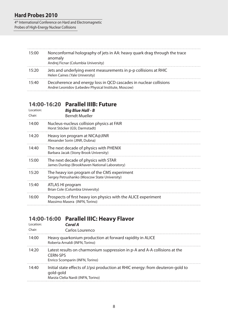#### 4th International Conference on Hard and Electromagnetic Probes of High-Energy Nuclear Collisions

| 15:00 | Nonconformal holography of jets in AA: heavy quark drag through the trace<br>anomaly<br>Andrej Ficnar (Columbia University) |
|-------|-----------------------------------------------------------------------------------------------------------------------------|
| 15:20 | Jets and underlying event measurements in p-p collisions at RHIC<br>Helen Caines (Yale University)                          |
| 15:40 | Decoherence and energy loss in QCD cascades in nuclear collisions<br>Andrei Leonidov (Lebedev Physical Institute, Moscow)   |

#### **14:00-16:20 Parallel IIIB: Future**

| Location:<br>Chair: | <b>Big Blue Hall - B</b><br><b>Berndt Mueller</b>                                               |
|---------------------|-------------------------------------------------------------------------------------------------|
| 14:00               | Nucleus-nucleus collision physics at FAIR<br>Horst Stöcker (GSI, Darmstadt)                     |
| 14:20               | Heavy ion program at NICA@JINR<br>Alexander Sorin (JINR, Dubna)                                 |
| 14:40               | The next decade of physics with PHENIX<br>Barbara Jacak (Stony Brook University)                |
| 15:00               | The next decade of physics with STAR<br>James Dunlop (Brookhaven National Laboratory)           |
| 15:20               | The heavy ion program of the CMS experiment<br>Sergey Petrushanko (Moscow State University)     |
| 15:40               | ATLAS HI program<br>Brian Cole (Columbia University)                                            |
| 16:00               | Prospects of first heavy ion physics with the ALICE experiment<br>Massimo Masera (INFN, Torino) |

## **14:00-16:00 Parallel IIIC: Heavy Flavor**

| Location:<br>Chair: | Coral A<br>Carlos Lourenco                                                                                                         |
|---------------------|------------------------------------------------------------------------------------------------------------------------------------|
| 14:00               | Heavy quarkonium production at forward rapidity in ALICE<br>Roberta Arnaldi (INFN, Torino)                                         |
| 14:20               | Latest results on charmonium suppression in p-A and A-A collisions at the<br><b>CERN-SPS</b><br>Enrico Scomparin (INFN, Torino)    |
| 14:40               | Initial state effects of J/psi production at RHIC energy: from deuteron-gold to<br>gold-gold<br>Marzia Clelia Nardi (INFN, Torino) |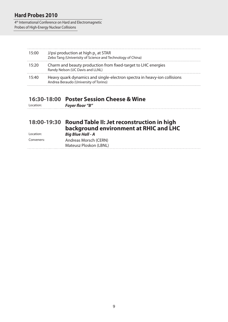4th International Conference on Hard and Electromagnetic Probes of High-Energy Nuclear Collisions

| 15:00 | J/psi production at high $p_{\tau}$ at STAR<br>Zebo Tang (Univerisity of Science and Technology of China)         |
|-------|-------------------------------------------------------------------------------------------------------------------|
| 15:20 | Charm and beauty production from fixed-target to LHC energies<br>Randy Nelson (UC Davis and LLNL)                 |
| 15:40 | Heavy quark dynamics and single-electron spectra in heavy-ion collisions<br>Andrea Beraudo (University of Torino) |

#### **16:30-18:00 Poster Session Cheese & Wine**

| Location: | <b>Foyer floor "B"</b> |  |
|-----------|------------------------|--|
|-----------|------------------------|--|

#### **18:00-19:30 Round Table II: Jet reconstruction in high background environment at RHIC and LHC** Location: *Big Blue Hall - A*

| Conveners: | Andreas Morsch (CERN)  |  |
|------------|------------------------|--|
|            | Mateusz Ploskon (LBNL) |  |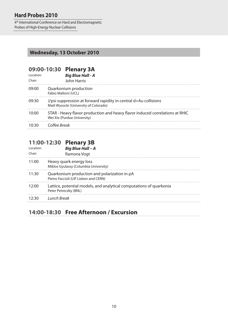4th International Conference on Hard and Electromagnetic Probes of High-Energy Nuclear Collisions

#### **Wednesday, 13 October 2010**

# **09:00-10:30 Plenary 3A**

| l ocation:<br>Chair: | <b>Big Blue Hall - A</b><br><b>John Harris</b>                                                              |
|----------------------|-------------------------------------------------------------------------------------------------------------|
| 09:00                | Quarkonium production<br>Fabio Maltoni (UCL)                                                                |
| 09:30                | J/psi suppression at forward rapidity in central d+Au collisions<br>Matt Wysocki (University of Colorado)   |
| 10:00                | STAR - Heavy flavor production and heavy flavor induced correlations at RHIC<br>Wei Xie (Purdue University) |
| 10.30                | Coffee Break                                                                                                |

#### **11:00-12:30 Plenary 3B**

| Location:<br>Chair: | <b>Big Blue Hall - A</b><br>Ramona Vogt                                                      |
|---------------------|----------------------------------------------------------------------------------------------|
| 11:00               | Heavy quark energy loss<br>Miklos Gyulassy (Columbia University)                             |
| 11:30               | Quarkonium production and polarization in pA<br>Pietro Faccioli (LIP Lisbon and CERN)        |
| 12:00               | Lattice, potential models, and analytical computations of quarkonia<br>Peter Petreczky (BNL) |
|                     | 12:30 Lunch Break                                                                            |

### **14:00-18:30 Free Afternoon / Excursion**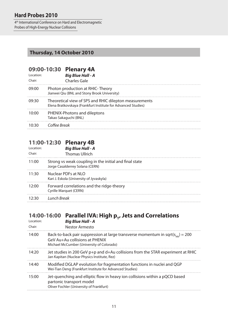4<sup>th</sup> International Conference on Hard and Electromagnetic Probes of High-Energy Nuclear Collisions

#### **Thursday, 14 October 2010**

# **09:00-10:30 Plenary 4A**

| l ocation:<br>Chair: | <b>Big Blue Hall - A</b><br><b>Charles Gale</b>                                                                         |
|----------------------|-------------------------------------------------------------------------------------------------------------------------|
| ∩9∙NN                | Photon production at RHIC-Theory<br>Jianwei Qiu (BNL and Stony Brook University)                                        |
| 09:30                | Theoretical view of SPS and RHIC dilepton measurements<br>Elena Bratkovskaya (Frankfurt Institute for Advanced Studies) |
| 10:00                | PHENIX-Photons and dileptons<br>Takao Sakaguchi (BNL)                                                                   |
|                      | Coffee Break                                                                                                            |

#### **11:00-12:30 Plenary 4B**

| Location:<br>Chair: | <b>Big Blue Hall - A</b><br><b>Thomas Ullrich</b>                                         |
|---------------------|-------------------------------------------------------------------------------------------|
| 11:00               | Strong vs weak coupling in the initial and final state<br>Jorge Casalderrey Solana (CERN) |
| 11:30               | Nuclear PDFs at NLO<br>Kari J. Eskola (University of Jyvaskyla)                           |
| 12:00               | Forward correlations and the ridge-theory<br>Cyrille Marquet (CERN)                       |
| 12.30               | Lunch Break                                                                               |

## 14:00-16:00 Parallel IVA: High p<sub>T</sub>, Jets and Correlations

| Location:<br>Chair: | <b>Big Blue Hall - A</b><br>Nestor Armesto                                                                                                                          |
|---------------------|---------------------------------------------------------------------------------------------------------------------------------------------------------------------|
| 14:00               | Back-to-back pair suppression at large transverse momentum in sqrt( $s_{nn}$ ) = 200<br>GeV Au+Au collisions at PHENIX<br>Michael McCumber (University of Colorado) |
| 14:20               | Jet studies in 200 GeV p+p and d+Au collisions from the STAR experiment at RHIC<br>Jan Kapitan (Nuclear Physics Institute, Rez)                                     |
| 14:40               | Modified DGLAP evolution for fragmentation functions in nuclei and QGP<br>Wei-Tian Deng (Frankfurt Institute for Advanced Studies)                                  |
| 15:00               | Jet-quenching and elliptic flow in heavy ion collisions within a pQCD based<br>partonic transport model<br>Oliver Fochler (University of Frankfurt)                 |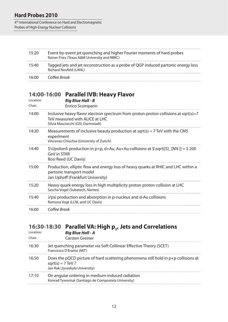4th International Conference on Hard and Electromagnetic Probes of High-Energy Nuclear Collisions

| 15:20 | Event-by-event jet quenching and higher Fourier moments of hard probes<br>Rainer Fries (Texas A&M University and RBRC) |
|-------|------------------------------------------------------------------------------------------------------------------------|
| 15.40 | Tagged jets and jet reconstruction as a probe of QGP induced partonic energy loss<br>Richard Neufeld (LANL)            |
| 16:00 | Coffee Break                                                                                                           |

#### **14:00-16:00 Parallel IVB: Heavy Flavor**

| Location:<br>Chair: | <b>Big Blue Hall - B</b><br><b>Enrico Scomparin</b>                                                                                                         |
|---------------------|-------------------------------------------------------------------------------------------------------------------------------------------------------------|
| 14:00               | Inclusive heavy flavor electron spectrum from proton-proton collisions at sqrt(s)=7<br>TeV measured with ALICE at LHC<br>Silvia Masciocchi (GSI, Darmstadt) |
| 14:20               | Measurements of inclusive beauty production at sqrt(s) = $7$ TeV with the CMS<br>experiment<br>Vincenzo Chiochia (University of Zurich)                     |
| 14:40               | \$\Upsilon\$ production in p+p, d+Au, Au+Au collisions at \$\sqrt{{S}_{NN }} = \$ 200<br>GeV in STAR<br>Rosi Reed (UC Davis)                                |
| 15:00               | Production, elliptic flow and energy loss of heavy quarks at RHIC and LHC within a<br>partonic transport model<br>Jan Uphoff (Frankfurt University)         |
| 15:20               | Heavy quark energy loss in high multiplicity proton proton collision at LHC<br>Sascha Vogel (Subatech, Nantes)                                              |
| 15:40               | J/psi production and absorption in p-nucleus and d-Au collisions<br>Ramona Vogt (LLNL and UC Davis)                                                         |
| 16:00               | Coffee Break                                                                                                                                                |

## **16:30-18:30 Parallel VA: High p<sub>T</sub>, Jets and Correlations**

| Location:<br>Chair: | <b>Big Blue Hall - A</b><br><b>Carsten Greiner</b>                                                                                          |
|---------------------|---------------------------------------------------------------------------------------------------------------------------------------------|
| 16:30               | Jet quenching parameter via Soft Collinear Effective Theory (SCET)<br>Francesco D'Eramo (MIT)                                               |
| 16:50               | Does the pQCD picture of hard scattering phenomena still hold in p+p collisions at<br>$sqrt(s) = 7 TeV$ ?<br>Jan Rak (Jyvaskyla University) |
| 17:10               | On angular ordering in medium-induced radiation<br>Konrad Tywoniuk (Santiago de Compostela University)                                      |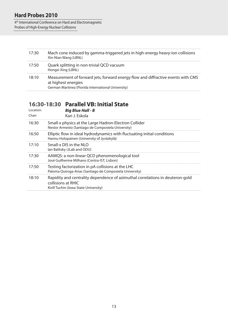4<sup>th</sup> International Conference on Hard and Electromagnetic Probes of High-Energy Nuclear Collisions

| 17:30 | Mach cone induced by gamma-triggered jets in high-energy heavy-ion collisions<br>Xin-Nian Wang (LBNL)                                                         |
|-------|---------------------------------------------------------------------------------------------------------------------------------------------------------------|
| 17:50 | Quark splitting in non-trivial QCD vacuum<br>Hongxi Xing (LBNL)                                                                                               |
| 18:10 | Measurement of forward jets, forward energy flow and diffractive events with CMS<br>at highest energies<br>German Martinez (Florida International University) |

## **16:30-18:30 Parallel VB: Initial State**

| Location:<br>Chair: | <b>Big Blue Hall - B</b><br>Kari J. Eskola                                                                                                   |
|---------------------|----------------------------------------------------------------------------------------------------------------------------------------------|
| 16:30               | Small-x physics at the Large Hadron-Electron Collider<br>Nestor Armesto (Santiago de Compostela University)                                  |
| 16:50               | Elliptic flow in ideal hydrodynamics with fluctuating initial conditions<br>Hannu Holopainen (University of Jyväskylä)                       |
| 17:10               | Small-x DIS in the NLO<br>Ian Balitsky (JLab and ODU)                                                                                        |
| 17:30               | AAMQS: a non-linear QCD phenomenological tool<br>José Guilherme Milhano (Centra-IST, Lisbon)                                                 |
| 17:50               | Testing factorization in pA collisions at the LHC<br>Paloma Quiroga-Arias (Santiago de Compostela University)                                |
| 18:10               | Rapidity and centrality dependence of azimuthal correlations in deuteron-gold<br>collisions at RHIC<br>Kirill Tuchin (Iowa State University) |